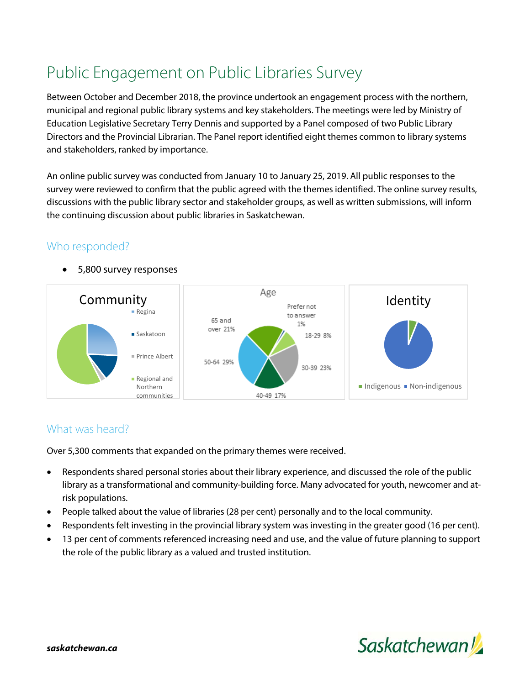# Public Engagement on Public Libraries Survey

Between October and December 2018, the province undertook an engagement process with the northern, municipal and regional public library systems and key stakeholders. The meetings were led by Ministry of Education Legislative Secretary Terry Dennis and supported by a Panel composed of two Public Library Directors and the Provincial Librarian. The Panel report identified eight themes common to library systems and stakeholders, ranked by importance.

An online public survey was conducted from January 10 to January 25, 2019. All public responses to the survey were reviewed to confirm that the public agreed with the themes identified. The online survey results, discussions with the public library sector and stakeholder groups, as well as written submissions, will inform the continuing discussion about public libraries in Saskatchewan.

## Who responded?



• 5,800 survey responses

### What was heard?

Over 5,300 comments that expanded on the primary themes were received.

- Respondents shared personal stories about their library experience, and discussed the role of the public library as a transformational and community-building force. Many advocated for youth, newcomer and atrisk populations.
- People talked about the value of libraries (28 per cent) personally and to the local community.
- Respondents felt investing in the provincial library system was investing in the greater good (16 per cent).
- 13 per cent of comments referenced increasing need and use, and the value of future planning to support the role of the public library as a valued and trusted institution.